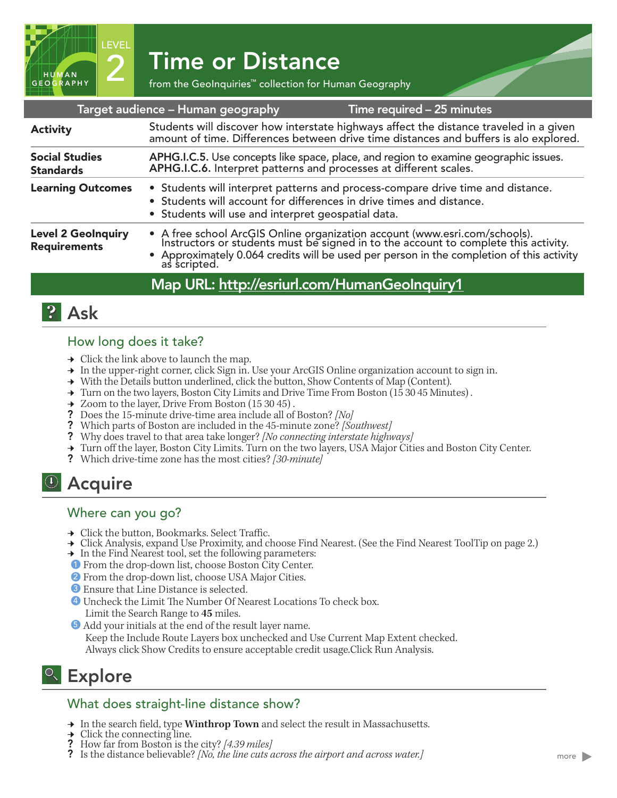2 Time or Distance<br>
From the GeoInquiries™ collection for Human Geography

| Target audience – Human geography<br>Time required - 25 minutes |                                                                                                                                                                                                                                                                            |
|-----------------------------------------------------------------|----------------------------------------------------------------------------------------------------------------------------------------------------------------------------------------------------------------------------------------------------------------------------|
| <b>Activity</b>                                                 | Students will discover how interstate highways affect the distance traveled in a given<br>amount of time. Differences between drive time distances and buffers is alo explored.                                                                                            |
| <b>Social Studies</b><br><b>Standards</b>                       | APHG.I.C.5. Use concepts like space, place, and region to examine geographic issues.<br>APHG.I.C.6. Interpret patterns and processes at different scales.                                                                                                                  |
| <b>Learning Outcomes</b>                                        | • Students will interpret patterns and process-compare drive time and distance.<br>• Students will account for differences in drive times and distance.<br>• Students will use and interpret geospatial data.                                                              |
| <b>Level 2 GeoInquiry</b><br><b>Requirements</b>                | • A free school ArcGIS Online organization account (www.esri.com/schools).<br>Instructors or students must be signed in to the account to complete this activity.<br>• Approximately 0.064 credits will be used per person in the completion of this activity as scripted. |
|                                                                 | Map URL: http://esriurl.com/HumanGeoInquiry1                                                                                                                                                                                                                               |

## **2** Ask

HUMAN RAPHY LEVEL

#### How long does it take?

- $\rightarrow$  Click the link above to launch the map.
- ʅ In the upper-right corner, click Sign in. Use your ArcGIS Online organization account to sign in.
- → With the Details button underlined, click the button, Show Contents of Map (Content).
- $\rightarrow$  Turn on the two layers, Boston City Limits and Drive Time From Boston (15 30 45 Minutes).
- → Zoom to the layer, Drive From Boston (15 30 45).
- ? Does the 15-minute drive-time area include all of Boston? *[No]*
- ? Which parts of Boston are included in the 45-minute zone? *[Southwest]*
- ? Why does travel to that area take longer? *[No connecting interstate highways]*
- → Turn off the layer, Boston City Limits. Turn on the two layers, USA Major Cities and Boston City Center.
- ? Which drive-time zone has the most cities? *[30-minute]*

# **4** Acquire

#### Where can you go?

- $\rightarrow\,$  Click the button, Bookmarks. Select Traffic.
- ʅ Click Analysis, expand Use Proximity, and choose Find Nearest. (See the Find Nearest ToolTip on page 2.)
- → In the Find Nearest tool, set the following parameters:
- **1** From the drop-down list, choose Boston City Center.
- 2 From the drop-down list, choose USA Major Cities.
- <sup>3</sup> Ensure that Line Distance is selected.
- ? Uncheck the Limit The Number Of Nearest Locations To check box. 4 Limit the Search Range to **45** miles.
- **3** Add your initials at the end of the result layer name. Keep the Include Route Layers box unchecked and Use Current Map Extent checked. Always click Show Credits to ensure acceptable credit usage.Click Run Analysis.

# <sup>Q</sup> Explore

### What does straight-line distance show?

- **→** In the search field, type **Winthrop Town** and select the result in Massachusetts. <br>◆ Click the connecting line.
- 
- **?** How far from Boston is the city? [4.39 miles]
- ? Is the distance believable? *[No, the line cuts across the airport and across water.]*